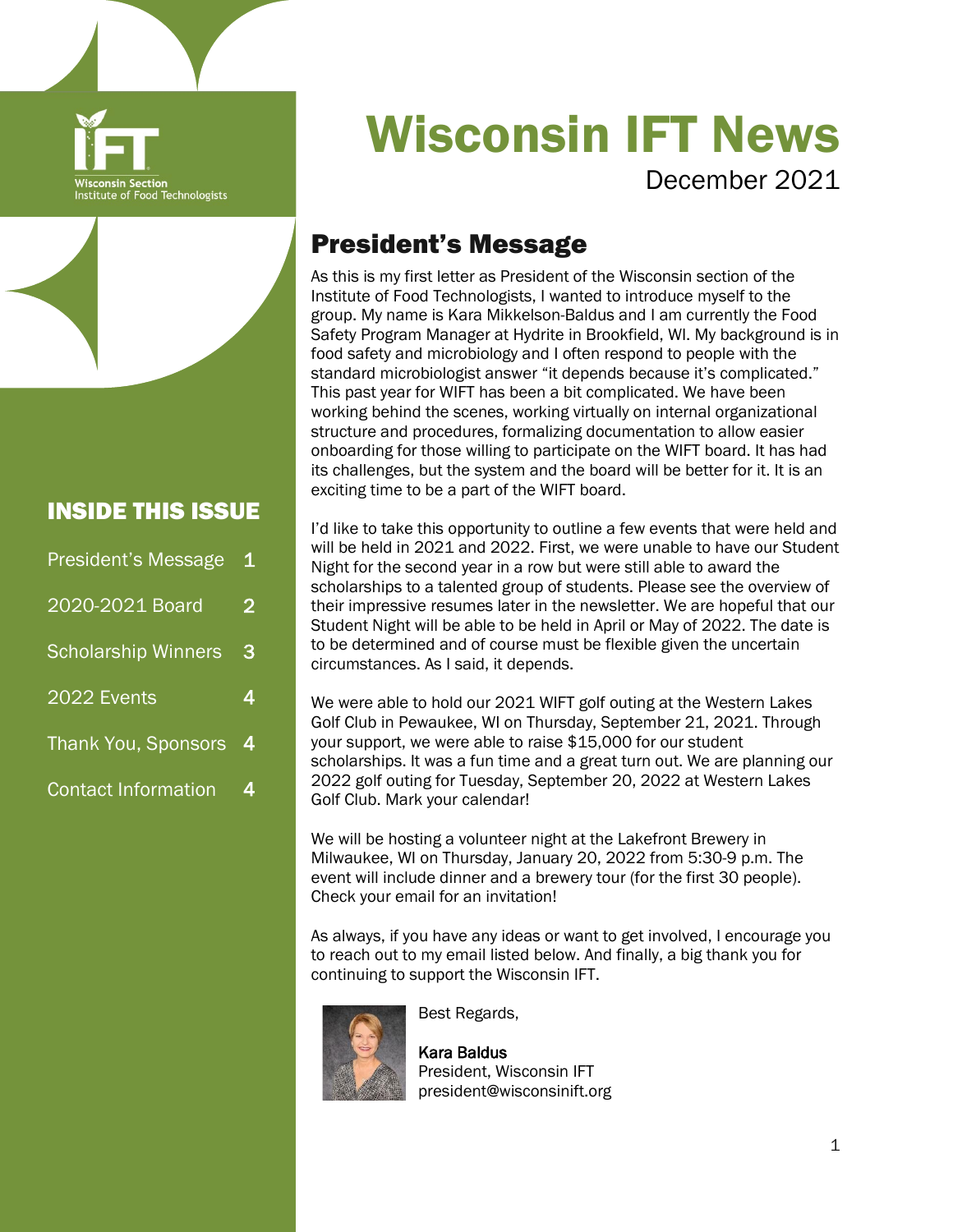

#### INSIDE THIS ISSUE

| President's Message        | $\mathbf 1$    |
|----------------------------|----------------|
| 2020-2021 Board            | $\overline{2}$ |
| <b>Scholarship Winners</b> | З              |
| 2022 Events                | 4              |
| <b>Thank You, Sponsors</b> | 4              |
| <b>Contact Information</b> | 4              |

# Wisconsin IFT News

December 2021

# President's Message

As this is my first letter as President of the Wisconsin section of the Institute of Food Technologists, I wanted to introduce myself to the group. My name is Kara Mikkelson-Baldus and I am currently the Food Safety Program Manager at Hydrite in Brookfield, WI. My background is in food safety and microbiology and I often respond to people with the standard microbiologist answer "it depends because it's complicated." This past year for WIFT has been a bit complicated. We have been working behind the scenes, working virtually on internal organizational structure and procedures, formalizing documentation to allow easier onboarding for those willing to participate on the WIFT board. It has had its challenges, but the system and the board will be better for it. It is an exciting time to be a part of the WIFT board.

I'd like to take this opportunity to outline a few events that were held and will be held in 2021 and 2022. First, we were unable to have our Student Night for the second year in a row but were still able to award the scholarships to a talented group of students. Please see the overview of their impressive resumes later in the newsletter. We are hopeful that our Student Night will be able to be held in April or May of 2022. The date is to be determined and of course must be flexible given the uncertain circumstances. As I said, it depends.

We were able to hold our 2021 WIFT golf outing at the Western Lakes Golf Club in Pewaukee, WI on Thursday, September 21, 2021. Through your support, we were able to raise \$15,000 for our student scholarships. It was a fun time and a great turn out. We are planning our 2022 golf outing for Tuesday, September 20, 2022 at Western Lakes Golf Club. Mark your calendar!

We will be hosting a volunteer night at the Lakefront Brewery in Milwaukee, WI on Thursday, January 20, 2022 from 5:30-9 p.m. The event will include dinner and a brewery tour (for the first 30 people). Check your email for an invitation!

As always, if you have any ideas or want to get involved, I encourage you to reach out to my email listed below. And finally, a big thank you for continuing to support the Wisconsin IFT.



Best Regards,

Kara Baldus President, Wisconsin IFT president@wisconsinift.org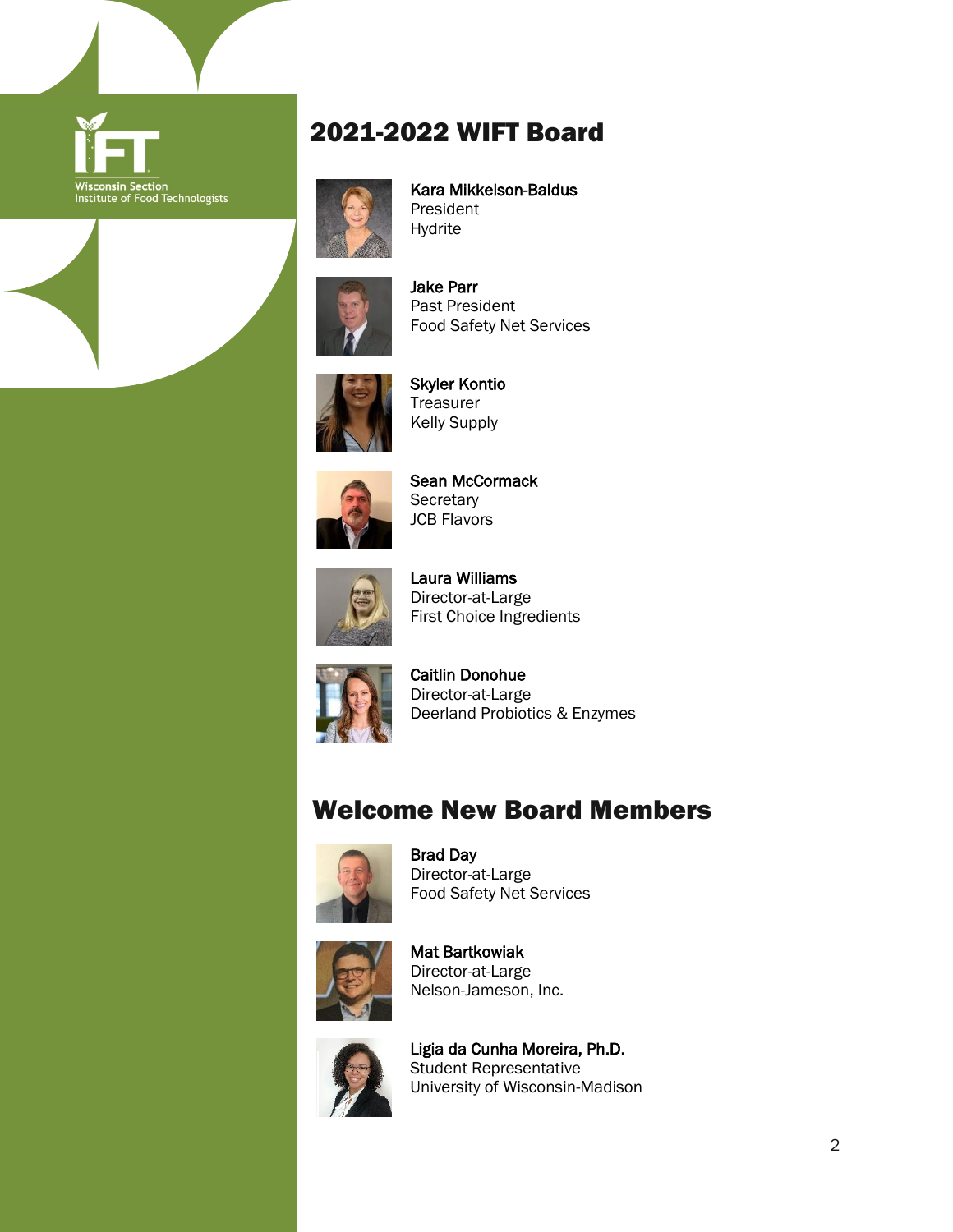

### 2021-2022 WIFT Board



 Kara Mikkelson-Baldus President Hydrite



 Jake Parr Past President Food Safety Net Services



 Skyler Kontio **Treasurer** Kelly Supply



 Sean McCormack **Secretary** JCB Flavors



 Laura Williams Director-at-Large First Choice Ingredients



 Caitlin Donohue Director-at-Large Deerland Probiotics & Enzymes

#### Welcome New Board Members



 Brad Day Director-at-Large Food Safety Net Services



 Mat Bartkowiak Director-at-Large Nelson-Jameson, Inc.



 Ligia da Cunha Moreira, Ph.D. Student Representative University of Wisconsin-Madison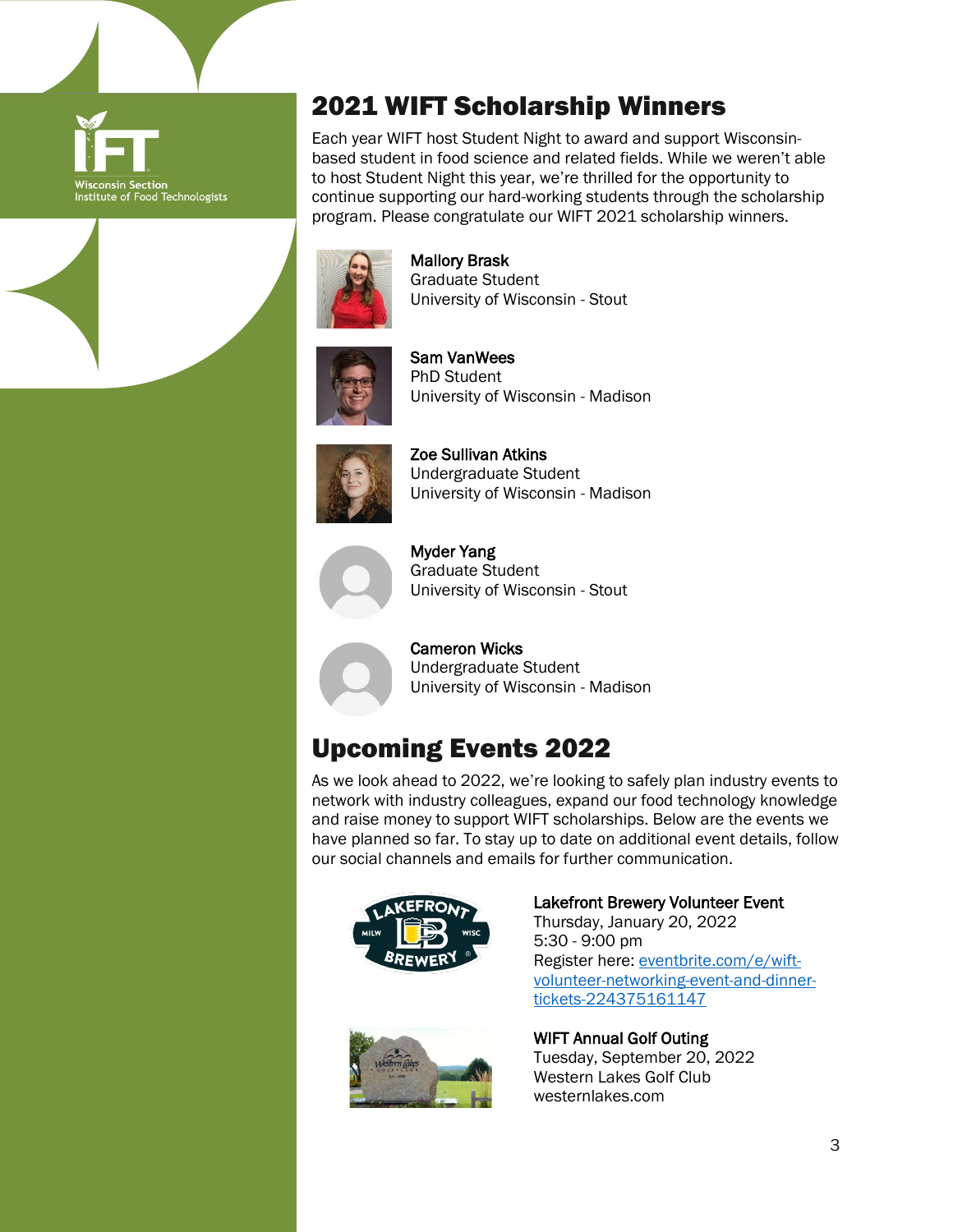

## 2021 WIFT Scholarship Winners

Each year WIFT host Student Night to award and support Wisconsinbased student in food science and related fields. While we weren't able to host Student Night this year, we're thrilled for the opportunity to continue supporting our hard-working students through the scholarship program. Please congratulate our WIFT 2021 scholarship winners.



 Mallory Brask Graduate Student University of Wisconsin - Stout



 Sam VanWees PhD Student University of Wisconsin - Madison



 Zoe Sullivan Atkins Undergraduate Student University of Wisconsin - Madison



 Myder Yang Graduate Student University of Wisconsin - Stout

 Cameron Wicks Undergraduate Student University of Wisconsin - Madison

# Upcoming Events 2022

As we look ahead to 2022, we're looking to safely plan industry events to network with industry colleagues, expand our food technology knowledge and raise money to support WIFT scholarships. Below are the events we have planned so far. To stay up to date on additional event details, follow our social channels and emails for further communication.



Lakefront Brewery Volunteer Event Thursday, January 20, 2022 5:30 - 9:00 pm Register here: [eventbrite.com/e/wift](https://www.eventbrite.com/e/wift-volunteer-networking-event-and-dinner-tickets-224375161147)[volunteer-networking-event-and-dinner](https://www.eventbrite.com/e/wift-volunteer-networking-event-and-dinner-tickets-224375161147)[tickets-224375161147](https://www.eventbrite.com/e/wift-volunteer-networking-event-and-dinner-tickets-224375161147)



WIFT Annual Golf Outing Tuesday, September 20, 2022 Western Lakes Golf Club westernlakes.com